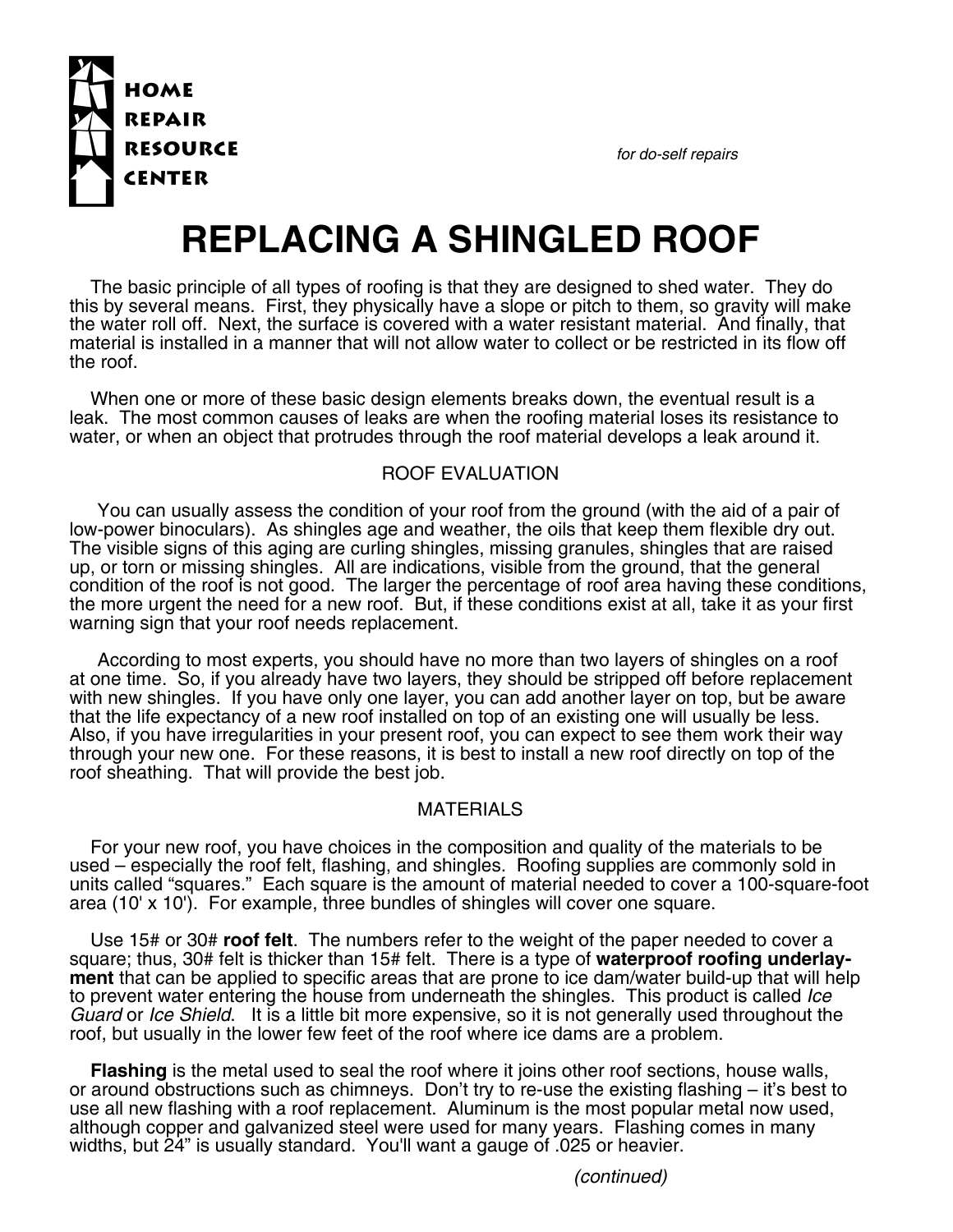*for do-self repairs*



## **REPLACING A SHINGLED ROOF**

The basic principle of all types of roofing is that they are designed to shed water. They do this by several means. First, they physically have a slope or pitch to them, so gravity will make the water roll off. Next, the surface is covered with a water resistant material. And finally, that material is installed in a manner that will not allow water to collect or be restricted in its flow off the roof.

When one or more of these basic design elements breaks down, the eventual result is a leak. The most common causes of leaks are when the roofing material loses its resistance to water, or when an object that protrudes through the roof material develops a leak around it.

## ROOF EVALUATION

You can usually assess the condition of your roof from the ground (with the aid of a pair of low-power binoculars). As shingles age and weather, the oils that keep them flexible dry out. The visible signs of this aging are curling shingles, missing granules, shingles that are raised up, or torn or missing shingles. All are indications, visible from the ground, that the general condition of the roof is not good. The larger the percentage of roof area having these conditions, the more urgent the need for a new roof. But, if these conditions exist at all, take it as your first warning sign that your roof needs replacement.

According to most experts, you should have no more than two layers of shingles on a roof at one time. So, if you already have two layers, they should be stripped off before replacement with new shingles. If you have only one layer, you can add another layer on top, but be aware that the life expectancy of a new roof installed on top of an existing one will usually be less. Also, if you have irregularities in your present roof, you can expect to see them work their way through your new one. For these reasons, it is best to install a new roof directly on top of the roof sheathing. That will provide the best job.

## MATERIALS

For your new roof, you have choices in the composition and quality of the materials to be used – especially the roof felt, flashing, and shingles. Roofing supplies are commonly sold in units called "squares." Each square is the amount of material needed to cover a 100-square-foot area (10' x 10'). For example, three bundles of shingles will cover one square.

Use 15# or 30# **roof felt**. The numbers refer to the weight of the paper needed to cover a square; thus, 30# felt is thicker than 15# felt. There is a type of **waterproof roofing underlayment** that can be applied to specific areas that are prone to ice dam/water build-up that will help to prevent water entering the house from underneath the shingles. This product is called *Ice Guard* or *Ice Shield*. It is a little bit more expensive, so it is not generally used throughout the roof, but usually in the lower few feet of the roof where ice dams are a problem.

**Flashing** is the metal used to seal the roof where it joins other roof sections, house walls, or around obstructions such as chimneys. Don't try to re-use the existing flashing – it's best to use all new flashing with a roof replacement. Aluminum is the most popular metal now used, although copper and galvanized steel were used for many years. Flashing comes in many widths, but 24" is usually standard. You'll want a gauge of .025 or heavier.

*(continued)*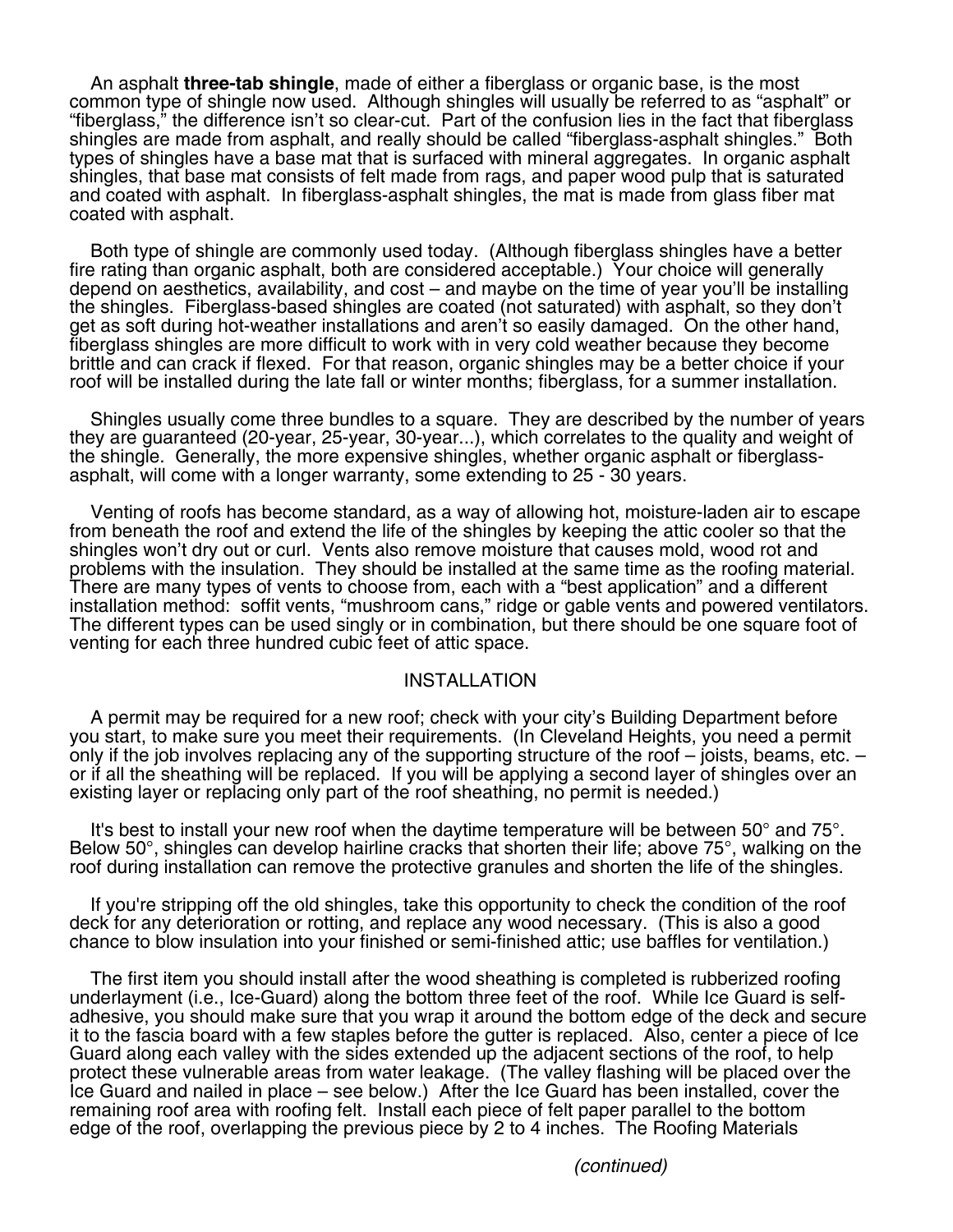An asphalt **three-tab shingle**, made of either a fiberglass or organic base, is the most common type of shingle now used. Although shingles will usually be referred to as "asphalt" or "fiberglass," the difference isn't so clear-cut. Part of the confusion lies in the fact that fiberglass shingles are made from asphalt, and really should be called "fiberglass-asphalt shingles." Both types of shingles have a base mat that is surfaced with mineral aggregates. In organic asphalt shingles, that base mat consists of felt made from rags, and paper wood pulp that is saturated<br>and coated with asphalt. In fiberglass-asphalt shingles, the mat is made from glass fiber mat coated with asphalt.

Both type of shingle are commonly used today. (Although fiberglass shingles have a better fire rating than organic asphalt, both are considered acceptable.) Your choice will generally depend on aesthetics, availability, and cost – and maybe on the time of year you'll be installing the shingles. Fiberglass-based shingles are coated (not saturated) with asphalt, so they don't get as soft during hot-weather installations and aren't so easily damaged. On the other hand, fiberglass shingles are more difficult to work with in very cold weather because they become brittle and can crack if flexed. For that reason, organic shingles may be a better choice if your roof will be installed during the late fall or winter months; fiberglass, for a summer installation.

Shingles usually come three bundles to a square. They are described by the number of years they are guaranteed (20-year, 25-year, 30-year...), which correlates to the quality and weight of the shingle. Generally, the more expensive shingles, whether organic asphalt or fiberglassasphalt, will come with a longer warranty, some extending to 25 - 30 years.

Venting of roofs has become standard, as a way of allowing hot, moisture-laden air to escape from beneath the roof and extend the life of the shingles by keeping the attic cooler so that the shingles won't dry out or curl. Vents also remove moisture that causes mold, wood rot and problems with the insulation. They should be installed at the same time as the roofing material. There are many types of vents to choose from, each with a "best application" and a different installation method: soffit vents, "mushroom cans," ridge or gable vents and powered ventilators.<br>The different types can be used singly or in combination, but there should be one square foot of venting for each three hundred cubic feet of attic space.

## INSTALLATION

A permit may be required for a new roof; check with your city's Building Department before you start, to make sure you meet their requirements. (In Cleveland Heights, you need a permit only if the job involves replacing any of the supporting structure of the roof – joists, beams, etc. – or if all the sheathing will be replaced. If you will be applying a second layer of shingles over an existing layer or replacing only part of the roof sheathing, no permit is needed.)

It's best to install your new roof when the daytime temperature will be between  $50^{\circ}$  and  $75^{\circ}$ . Below 50°, shingles can develop hairline cracks that shorten their life; above 75°, walking on the roof during installation can remove the protective granules and shorten the life of the shingles.

If you're stripping off the old shingles, take this opportunity to check the condition of the roof deck for any deterioration or rotting, and replace any wood necessary. (This is also a good chance to blow insulation into your finished or semi-finished attic; use baffles for ventilation.)

The first item you should install after the wood sheathing is completed is rubberized roofing underlayment (i.e., Ice-Guard) along the bottom three feet of the roof. While Ice Guard is selfadhesive, you should make sure that you wrap it around the bottom edge of the deck and secure it to the fascia board with a few staples before the gutter is replaced. Also, center a piece of Ice Guard along each valley with the sides extended up the adjacent sections of the roof, to help protect these vulnerable areas from water leakage. (The valley flashing will be placed over the Ice Guard and nailed in place – see below.) After the Ice Guard has been installed, cover the remaining roof area with roofing felt. Install each piece of felt paper parallel to the bottom edge of the roof, overlapping the previous piece by 2 to 4 inches. The Roofing Materials

*(continued)*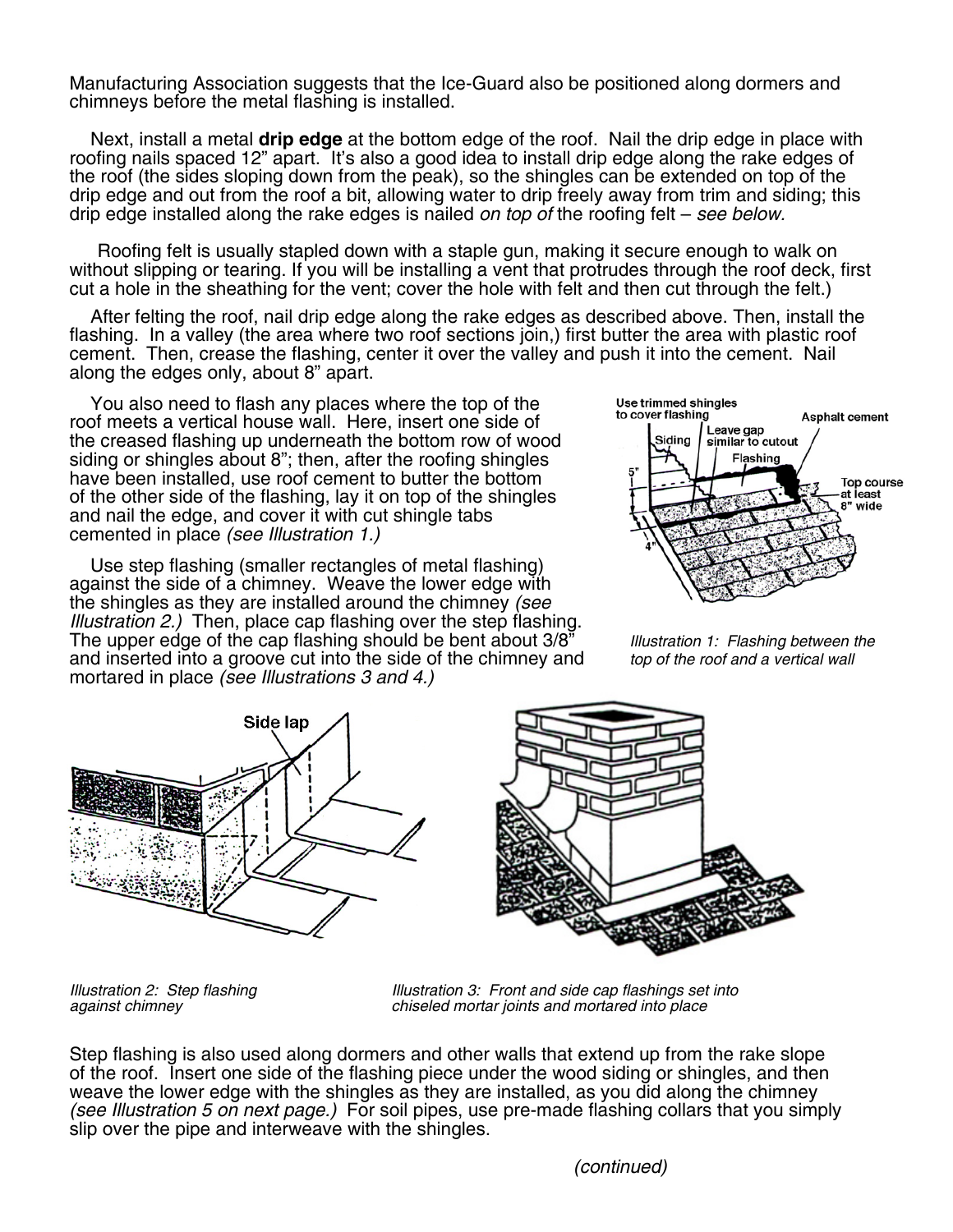Manufacturing Association suggests that the Ice-Guard also be positioned along dormers and chimneys before the metal flashing is installed.

Next, install a metal **drip edge** at the bottom edge of the roof. Nail the drip edge in place with roofing nails spaced 12" apart. It's also a good idea to install drip edge along the rake edges of the roof (the sides sloping down from the peak), so the shingles can be extended on top of the drip edge and out from the roof a bit, allowing water to drip freely away from trim and siding; this drip edge installed along the rake edges is nailed *on top of* the roofing felt – *see below.*

 Roofing felt is usually stapled down with a staple gun, making it secure enough to walk on without slipping or tearing. If you will be installing a vent that protrudes through the roof deck, first cut a hole in the sheathing for the vent; cover the hole with felt and then cut through the felt.)

After felting the roof, nail drip edge along the rake edges as described above. Then, install the flashing. In a valley (the area where two roof sections join,) first butter the area with plastic roof cement. Then, crease the flashing, center it over the valley and push it into the cement. Nail along the edges only, about 8" apart.

You also need to flash any places where the top of the roof meets a vertical house wall. Here, insert one side of the creased flashing up underneath the bottom row of wood siding or shingles about 8"; then, after the roofing shingles have been installed, use roof cement to butter the bottom of the other side of the flashing, lay it on top of the shingles and nail the edge, and cover it with cut shingle tabs cemented in place *(see Illustration 1.)* 

Use step flashing (smaller rectangles of metal flashing) against the side of a chimney. Weave the lower edge with the shingles as they are installed around the chimney *(see Illustration 2.)* Then, place cap flashing over the step flashing. The upper edge of the cap flashing should be bent about 3/8" *Illustration 1: Flashing between the* and inserted into a groove cut into the side of the chimney and mortared in place *(see Illustrations 3 and 4.)* 





*Illustration 2:* Step flashing **Illustration 3: Front and side cap flashings set into against chimney and mortared into place** *against chimney chiseled mortar joints and mortared into place* 

Step flashing is also used along dormers and other walls that extend up from the rake slope of the roof. Insert one side of the flashing piece under the wood siding or shingles, and then<br>weave the lower edge with the shingles as they are installed, as you did along the chimney (see Illustration 5 on next page.) For soil pipes, use pre-made flashing collars that you simply slip over the pipe and interweave with the shingles.